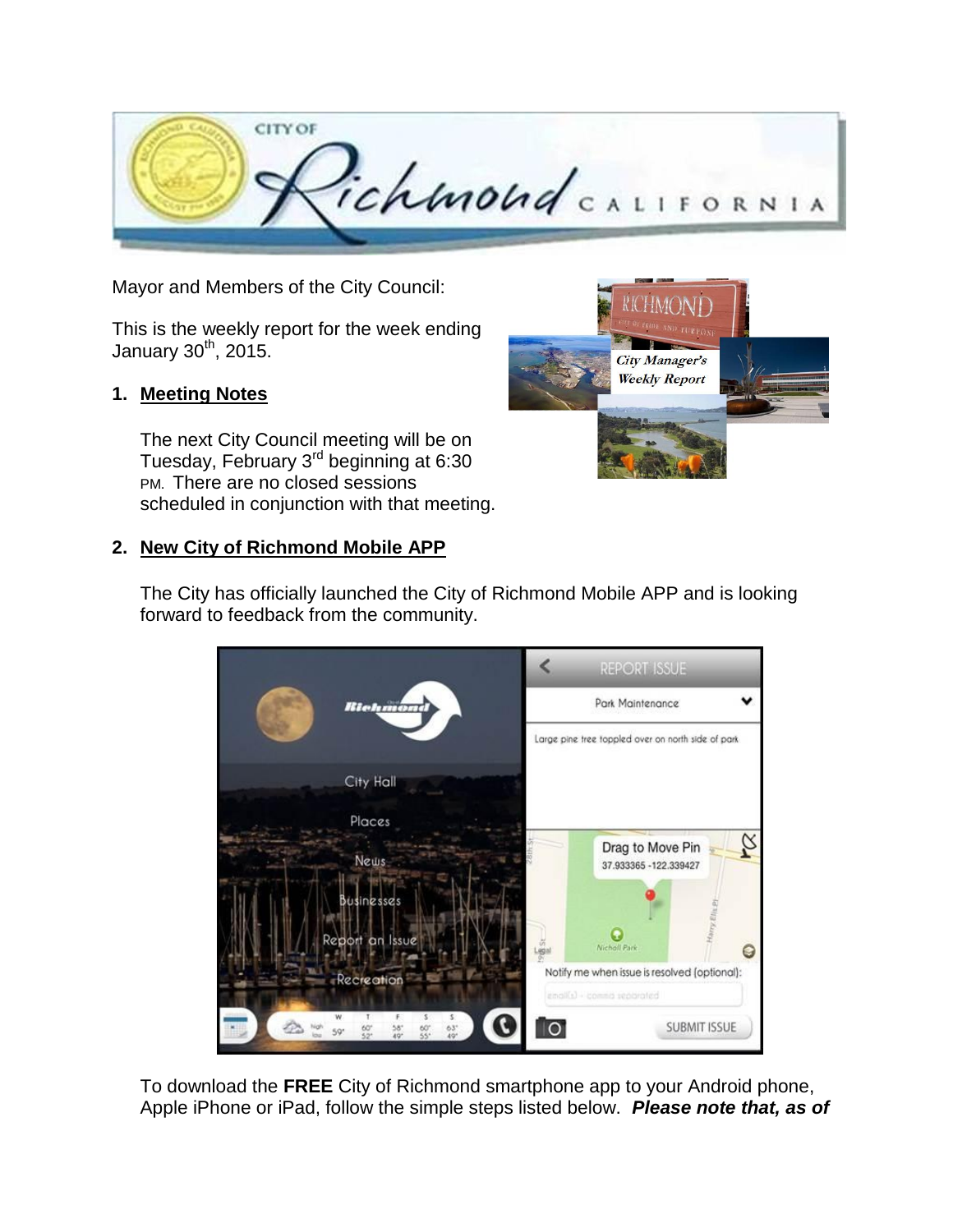

Mayor and Members of the City Council:

This is the weekly report for the week ending January  $30<sup>th</sup>$ , 2015.

#### **1. Meeting Notes**

The next City Council meeting will be on Tuesday, February 3<sup>rd</sup> beginning at 6:30 PM. There are no closed sessions scheduled in conjunction with that meeting.



#### **2. New City of Richmond Mobile APP**

The City has officially launched the City of Richmond Mobile APP and is looking forward to feedback from the community.



To download the **FREE** City of Richmond smartphone app to your Android phone, Apple iPhone or iPad, follow the simple steps listed below. *Please note that, as of*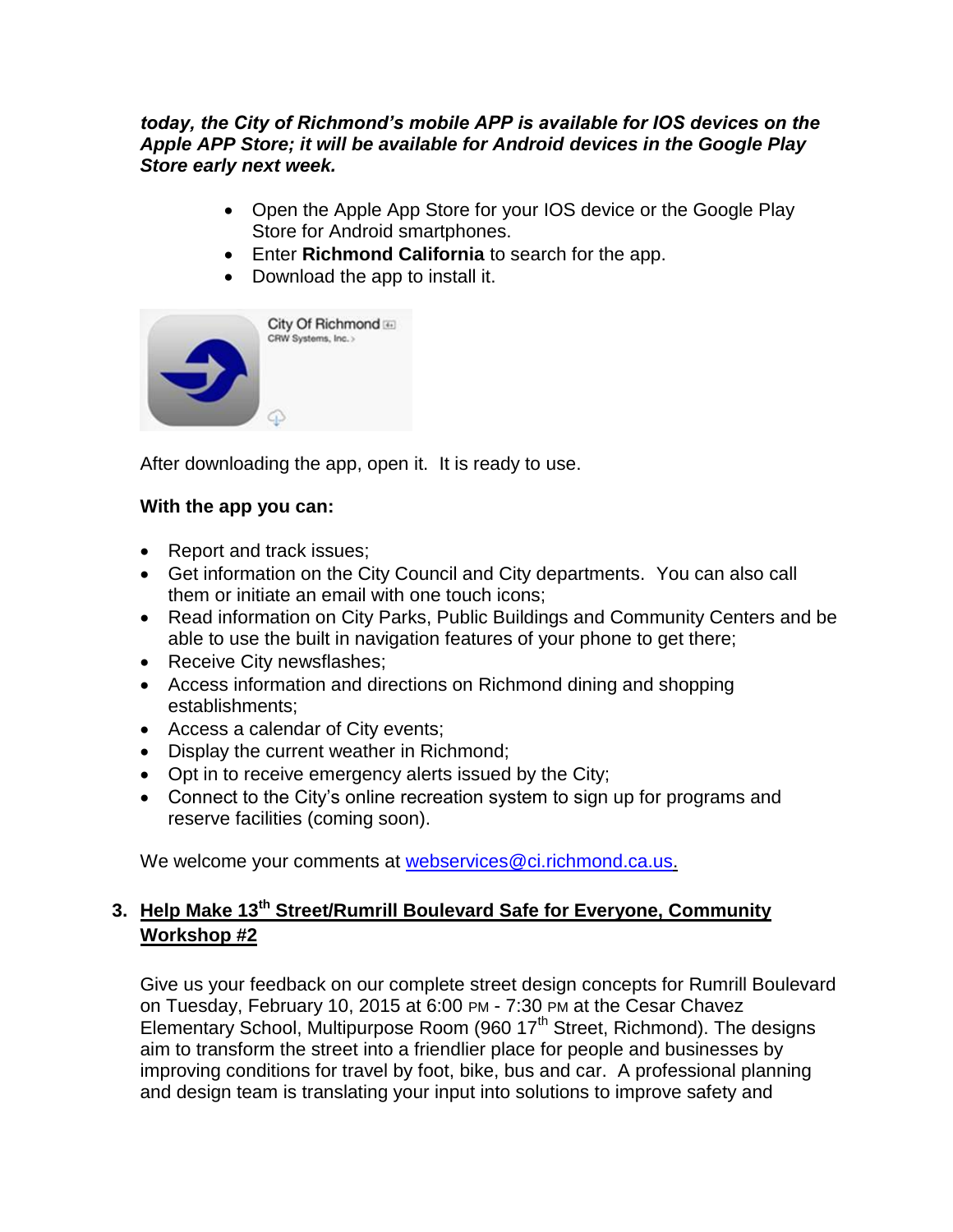#### *today, the City of Richmond's mobile APP is available for IOS devices on the Apple APP Store; it will be available for Android devices in the Google Play Store early next week.*

- Open the Apple App Store for your IOS device or the Google Play Store for Android smartphones.
- Enter **Richmond California** to search for the app.
- Download the app to install it.



After downloading the app, open it. It is ready to use.

#### **With the app you can:**

- Report and track issues;
- Get information on the City Council and City departments. You can also call them or initiate an email with one touch icons;
- Read information on City Parks, Public Buildings and Community Centers and be able to use the built in navigation features of your phone to get there;
- Receive City newsflashes;
- Access information and directions on Richmond dining and shopping establishments;
- Access a calendar of City events;
- Display the current weather in Richmond;
- Opt in to receive emergency alerts issued by the City;
- Connect to the City's online recreation system to sign up for programs and reserve facilities (coming soon).

We welcome your comments at [webservices@ci.richmond.ca.us.](mailto:webservices@ci.richmond.ca.us)

#### **3. Help Make 13th Street/Rumrill Boulevard Safe for Everyone, Community Workshop #2**

Give us your feedback on our complete street design concepts for Rumrill Boulevard on Tuesday, February 10, 2015 at 6:00 PM - 7:30 PM at the Cesar Chavez Elementary School, Multipurpose Room (960 17<sup>th</sup> Street, Richmond). The designs aim to transform the street into a friendlier place for people and businesses by improving conditions for travel by foot, bike, bus and car. A professional planning and design team is translating your input into solutions to improve safety and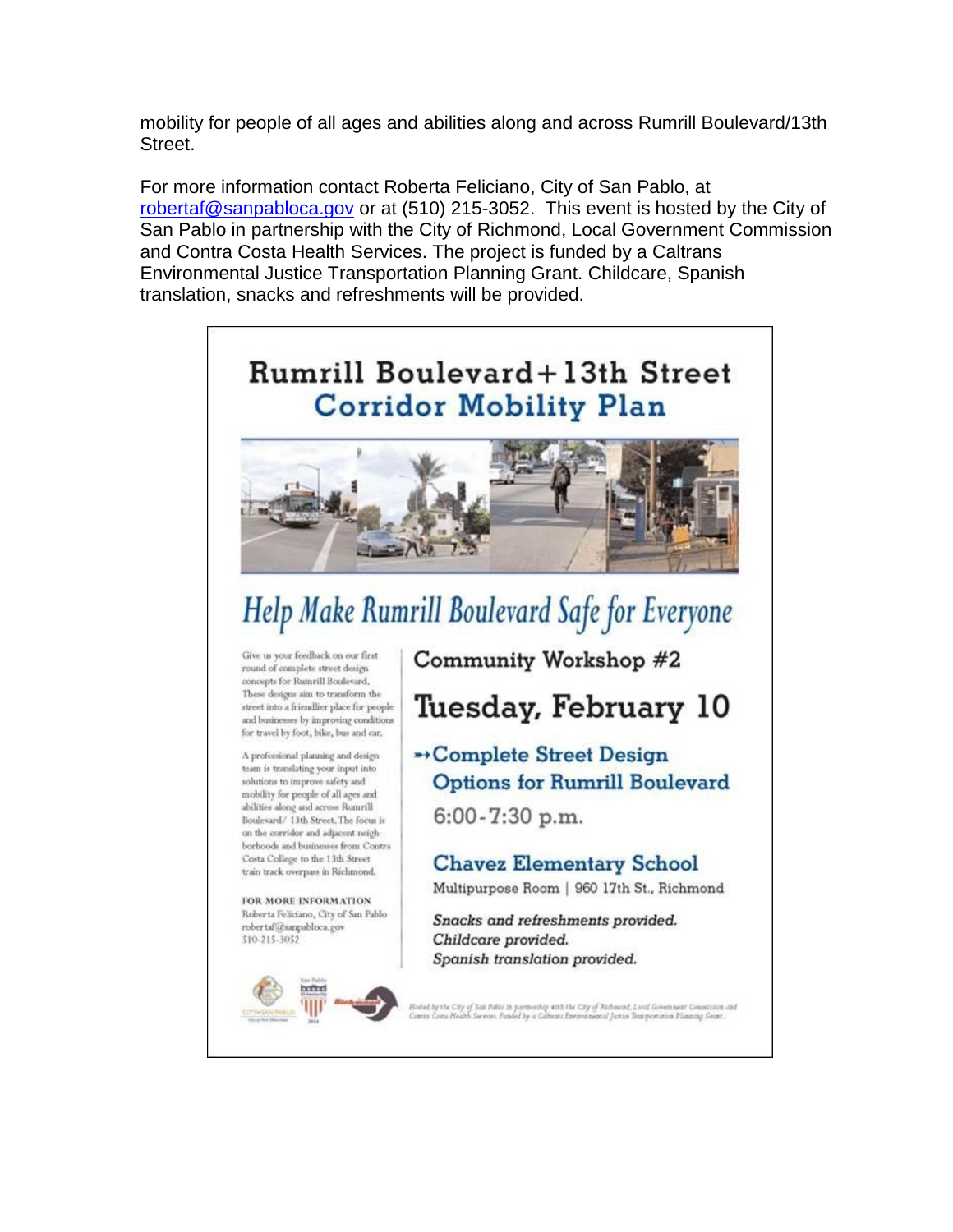mobility for people of all ages and abilities along and across Rumrill Boulevard/13th Street.

For more information contact Roberta Feliciano, City of San Pablo, at [robertaf@sanpabloca.gov](mailto:robertaf@sanpabloca.gov) or at (510) 215-3052. This event is hosted by the City of San Pablo in partnership with the City of Richmond, Local Government Commission and Contra Costa Health Services. The project is funded by a Caltrans Environmental Justice Transportation Planning Grant. Childcare, Spanish translation, snacks and refreshments will be provided.

## **Rumrill Boulevard+13th Street Corridor Mobility Plan**



# Help Make Rumrill Boulevard Safe for Everyone

Give us your feedback on our first round of complete street design concepts for Rumrill Boulevard, These designs aim to transform the street into a friendlier place for people and businesses by improving conditions for travel by foot, bike, bus and car.

A professional planning and design team is translating your input into solutions to improve safety and mobility for people of all ages and abilities along and across Rumrill Boulevard/ 13th Street, The focus is on the corridor and adjacent neighborhoods and businesses from Contra Costa College to the 13th Street train track overpass in Richmond,

FOR MORE INFORMATION Roberta Feliciano, City of San Pablo robertaf@sanpabloca.gov 510-215-3052



Community Workshop #2

Tuesday, February 10

→Complete Street Design **Options for Rumrill Boulevard**  $6:00 - 7:30$  p.m.

**Chavez Elementary School** 

Multipurpose Room | 960 17th St., Richmond

Snacks and refreshments provided. Childcare provided. Spanish translation provided.

.<br>Horted by the City of Sax Pablo in partnership with the City of Richmond, Local Government Commission and<br>Contro Costa Health Survons, Panded by a Caltrans Environmental Justice Teampostation Planning Geant.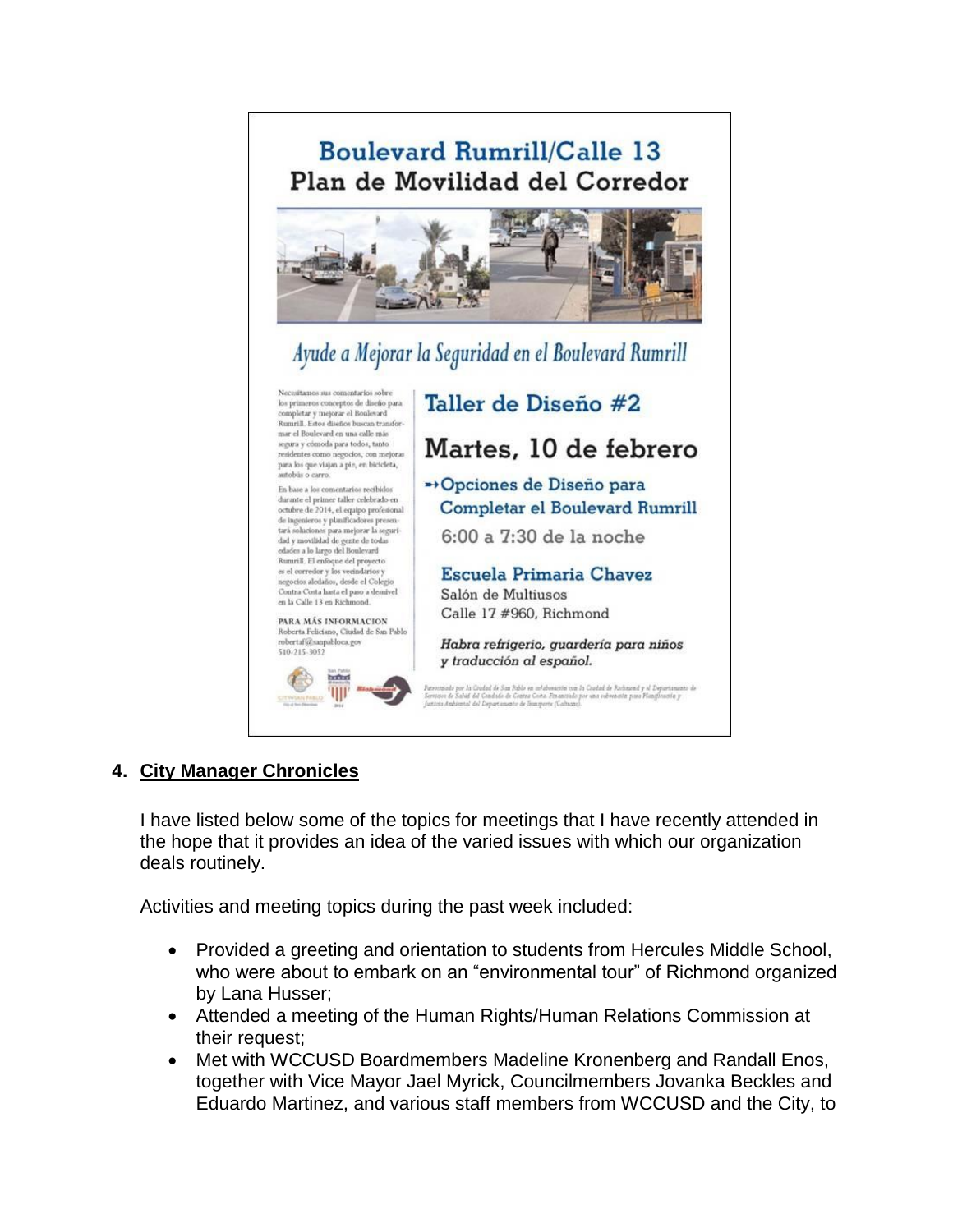

### Ayude a Mejorar la Seguridad en el Boulevard Rumrill

los primeros conceptos de diseño para completar y mejorar el Boulevard<br>Rumrill. Estos diseños buscan transformar el Boulevard en una calle más segura y cómoda para todos, tanto residentes como negocios, con mejoras para los que viajan a pie, en bicicleta, utobús o carro.

En base a los comentarios recibidos durante el primer taller celebrado en<br>octubre de 2014, el equipo profesional de ingenieros y planificadores presentarà soluciones para mejorar la seguridad y movilidad de gente de todas<br>edades a lo largo del Boulevard Rumrill. El enfoque del proyecto<br>es el corredor y los vecindarios y<br>negocios aleclaños, desde el Colegio<br>Contra Costa hasta el paso a desnivel en la Calle 13 en Richmond.

PARA MÁS INFORMACION Roberta Feliciano, Ciudad de San Pablo robertaf@sanpabloca.gov 510-215-3052



Taller de Diseño #2 Martes, 10 de febrero → Opciones de Diseño para **Completar el Boulevard Rumrill** 6:00 a 7:30 de la noche **Escuela Primaria Chavez** Salón de Multiusos Calle 17 #960, Richmond

Habra refrigerio, guardería para niños y traducción al español.

.<br>Burovopado por la Coulad de San Poblo en médomación von la Coulad de Rochnead y el Deportane<br>Servizos Ankiental del Candado de Centro Costa. Ponanzialo por una vebrención para Flanghouzión y<br>Junions Ankiental del Deporta

#### **4. City Manager Chronicles**

I have listed below some of the topics for meetings that I have recently attended in the hope that it provides an idea of the varied issues with which our organization deals routinely.

Activities and meeting topics during the past week included:

- Provided a greeting and orientation to students from Hercules Middle School, who were about to embark on an "environmental tour" of Richmond organized by Lana Husser;
- Attended a meeting of the Human Rights/Human Relations Commission at their request;
- Met with WCCUSD Boardmembers Madeline Kronenberg and Randall Enos, together with Vice Mayor Jael Myrick, Councilmembers Jovanka Beckles and Eduardo Martinez, and various staff members from WCCUSD and the City, to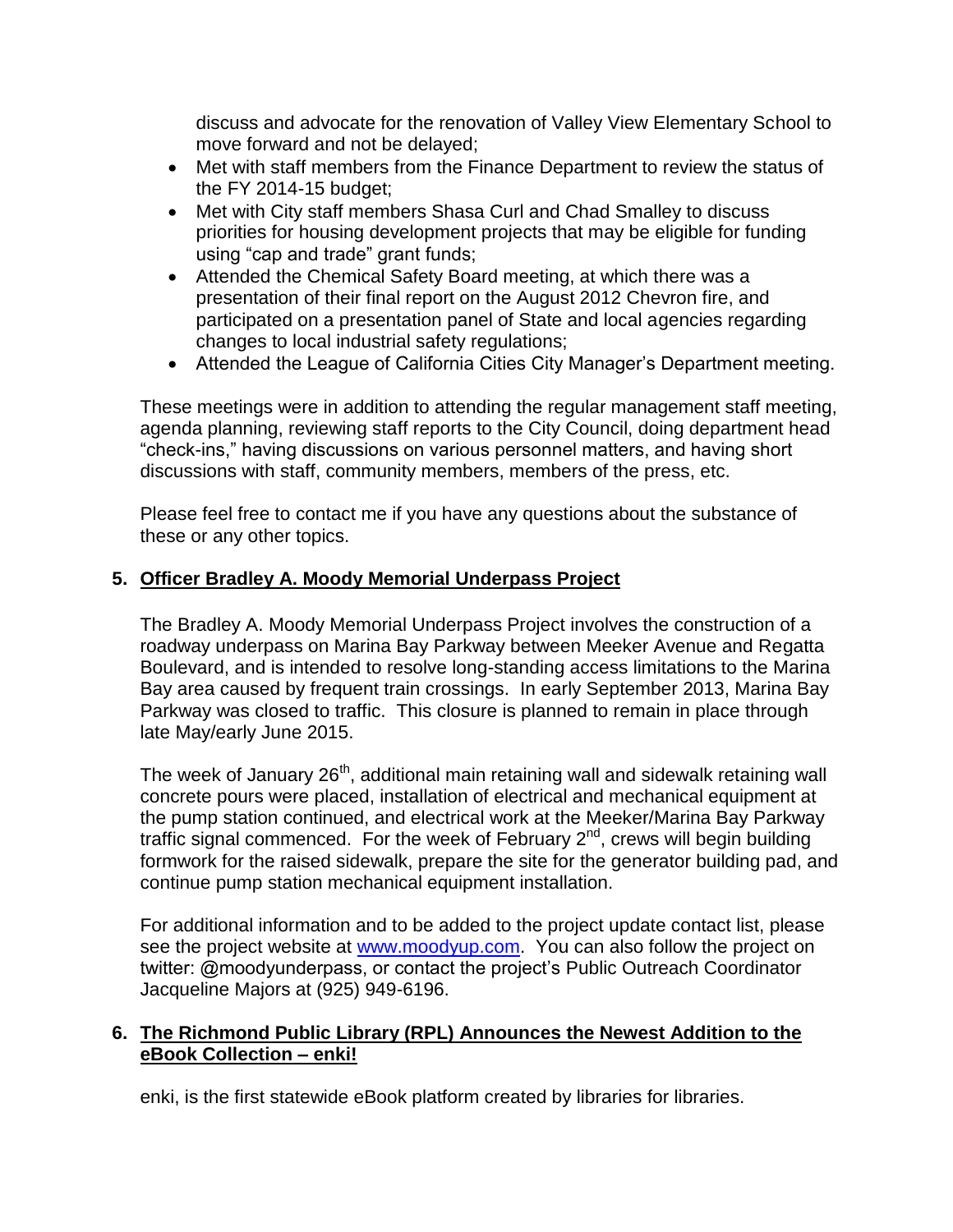discuss and advocate for the renovation of Valley View Elementary School to move forward and not be delayed;

- Met with staff members from the Finance Department to review the status of the FY 2014-15 budget;
- Met with City staff members Shasa Curl and Chad Smalley to discuss priorities for housing development projects that may be eligible for funding using "cap and trade" grant funds;
- Attended the Chemical Safety Board meeting, at which there was a presentation of their final report on the August 2012 Chevron fire, and participated on a presentation panel of State and local agencies regarding changes to local industrial safety regulations;
- Attended the League of California Cities City Manager's Department meeting.

These meetings were in addition to attending the regular management staff meeting, agenda planning, reviewing staff reports to the City Council, doing department head "check-ins," having discussions on various personnel matters, and having short discussions with staff, community members, members of the press, etc.

Please feel free to contact me if you have any questions about the substance of these or any other topics.

#### **5. Officer Bradley A. Moody Memorial Underpass Project**

The Bradley A. Moody Memorial Underpass Project involves the construction of a roadway underpass on Marina Bay Parkway between Meeker Avenue and Regatta Boulevard, and is intended to resolve long-standing access limitations to the Marina Bay area caused by frequent train crossings. In early September 2013, Marina Bay Parkway was closed to traffic. This closure is planned to remain in place through late May/early June 2015.

The week of January 26<sup>th</sup>, additional main retaining wall and sidewalk retaining wall concrete pours were placed, installation of electrical and mechanical equipment at the pump station continued, and electrical work at the Meeker/Marina Bay Parkway traffic signal commenced. For the week of February  $2<sup>nd</sup>$ , crews will begin building formwork for the raised sidewalk, prepare the site for the generator building pad, and continue pump station mechanical equipment installation.

For additional information and to be added to the project update contact list, please see the project website at [www.moodyup.com.](http://www.moodyup.com/) You can also follow the project on twitter: @moodyunderpass, or contact the project's Public Outreach Coordinator Jacqueline Majors at (925) 949-6196.

#### **6. The Richmond Public Library (RPL) Announces the Newest Addition to the eBook Collection – enki!**

enki, is the first statewide eBook platform created by libraries for libraries.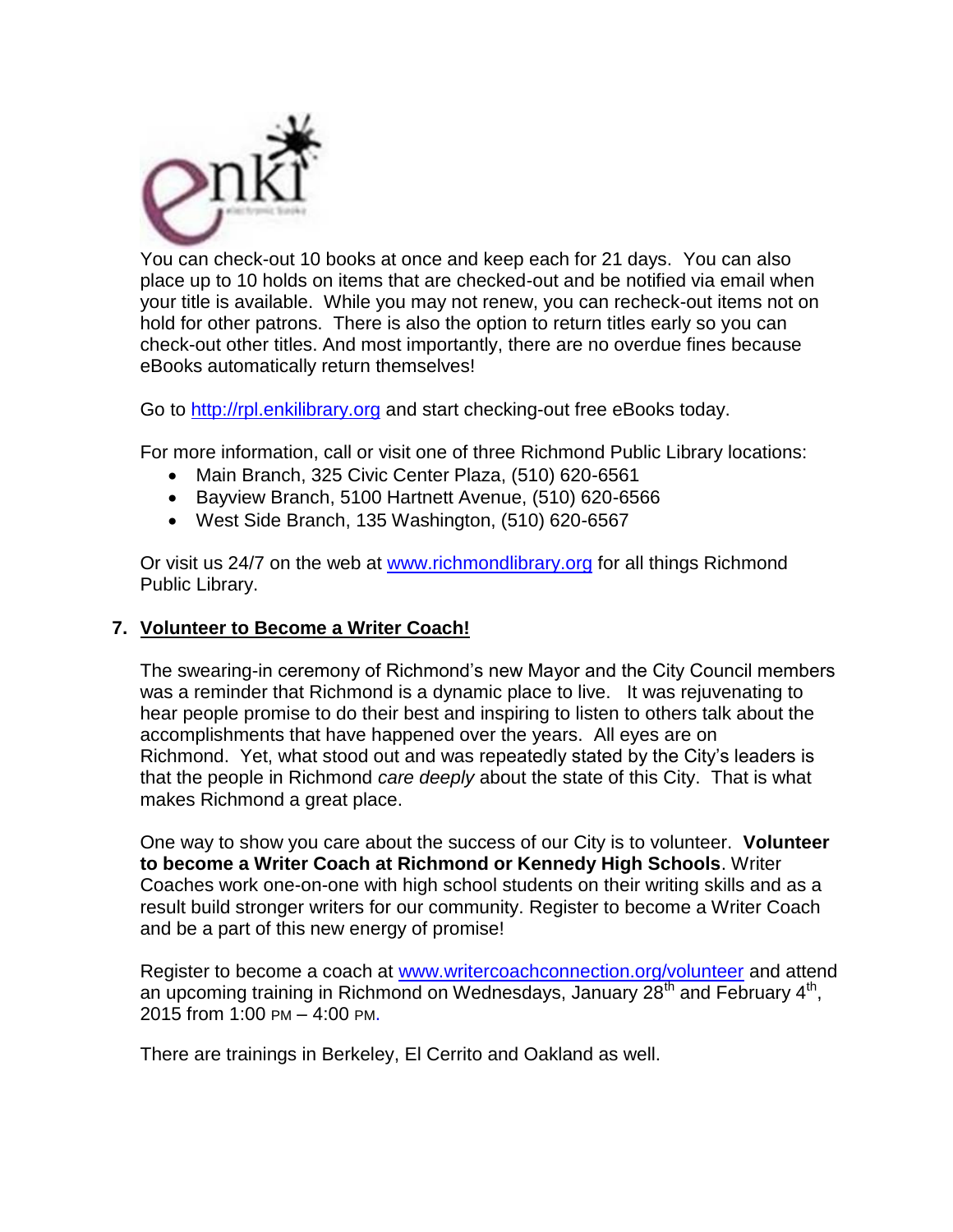

You can check-out 10 books at once and keep each for 21 days. You can also place up to 10 holds on items that are checked-out and be notified via email when your title is available. While you may not renew, you can recheck-out items not on hold for other patrons. There is also the option to return titles early so you can check-out other titles. And most importantly, there are no overdue fines because eBooks automatically return themselves!

Go to [http://rpl.enkilibrary.org](http://rpl.enkilibrary.org/) and start checking-out free eBooks today.

For more information, call or visit one of three Richmond Public Library locations:

- Main Branch, 325 Civic Center Plaza, (510) 620-6561
- Bayview Branch, 5100 Hartnett Avenue, (510) 620-6566
- West Side Branch, 135 Washington, (510) 620-6567

Or visit us 24/7 on the web at [www.richmondlibrary.org](http://www.richmondlibrary.org/) for all things Richmond Public Library.

#### **7. Volunteer to Become a Writer Coach!**

The swearing-in ceremony of Richmond's new Mayor and the City Council members was a reminder that Richmond is a dynamic place to live. It was rejuvenating to hear people promise to do their best and inspiring to listen to others talk about the accomplishments that have happened over the years. All eyes are on Richmond. Yet, what stood out and was repeatedly stated by the City's leaders is that the people in Richmond *care deeply* about the state of this City. That is what makes Richmond a great place.

One way to show you care about the success of our City is to volunteer. **Volunteer to become a Writer Coach at Richmond or Kennedy High Schools**. Writer Coaches work one-on-one with high school students on their writing skills and as a result build stronger writers for our community. Register to become a Writer Coach and be a part of this new energy of promise!

Register to become a coach at [www.writercoachconnection.org/volunteer](http://www.writercoachconnection.org/volunteer) and attend an upcoming training in Richmond on Wednesdays, January  $28<sup>th</sup>$  and February  $4<sup>th</sup>$ , 2015 from 1:00 PM – 4:00 PM.

There are trainings in Berkeley, El Cerrito and Oakland as well.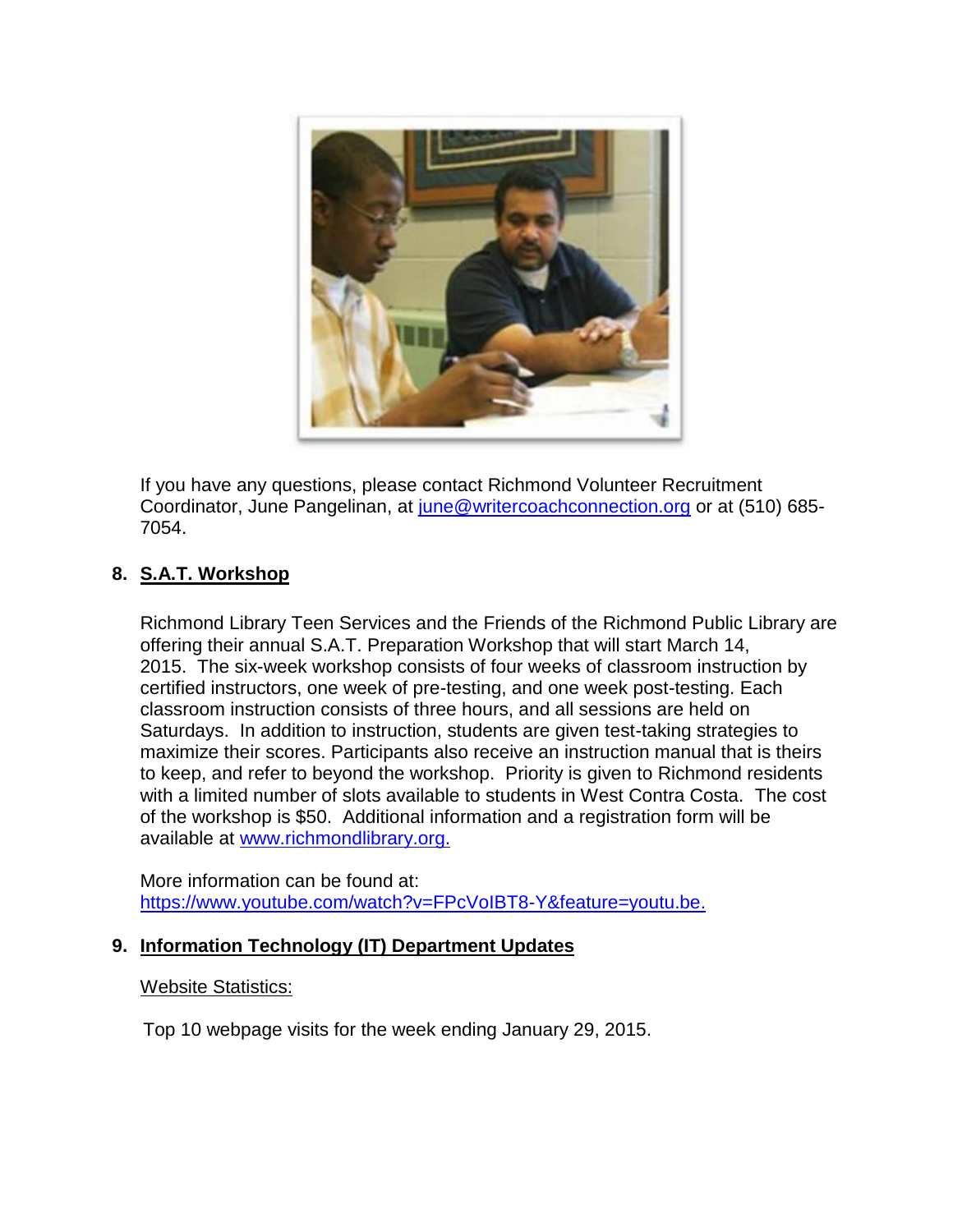

If you have any questions, please contact Richmond Volunteer Recruitment Coordinator, June Pangelinan, at [june@writercoachconnection.org](mailto:june@writercoachconnection.org) or at (510) 685- 7054.

#### **8. S.A.T. Workshop**

Richmond Library Teen Services and the Friends of the Richmond Public Library are offering their annual S.A.T. Preparation Workshop that will start March 14, 2015. The six-week workshop consists of four weeks of classroom instruction by certified instructors, one week of pre-testing, and one week post-testing. Each classroom instruction consists of three hours, and all sessions are held on Saturdays. In addition to instruction, students are given test-taking strategies to maximize their scores. Participants also receive an instruction manual that is theirs to keep, and refer to beyond the workshop. Priority is given to Richmond residents with a limited number of slots available to students in West Contra Costa. The cost of the workshop is \$50. Additional information and a registration form will be available at [www.richmondlibrary.org.](http://www.richmondlibrary.org/)

More information can be found at: [https://www.youtube.com/watch?v=FPcVoIBT8-Y&feature=youtu.be.](https://www.youtube.com/watch?v=FPcVoIBT8-Y&feature=youtu.be)

#### **9. Information Technology (IT) Department Updates**

#### Website Statistics:

Top 10 webpage visits for the week ending January 29, 2015.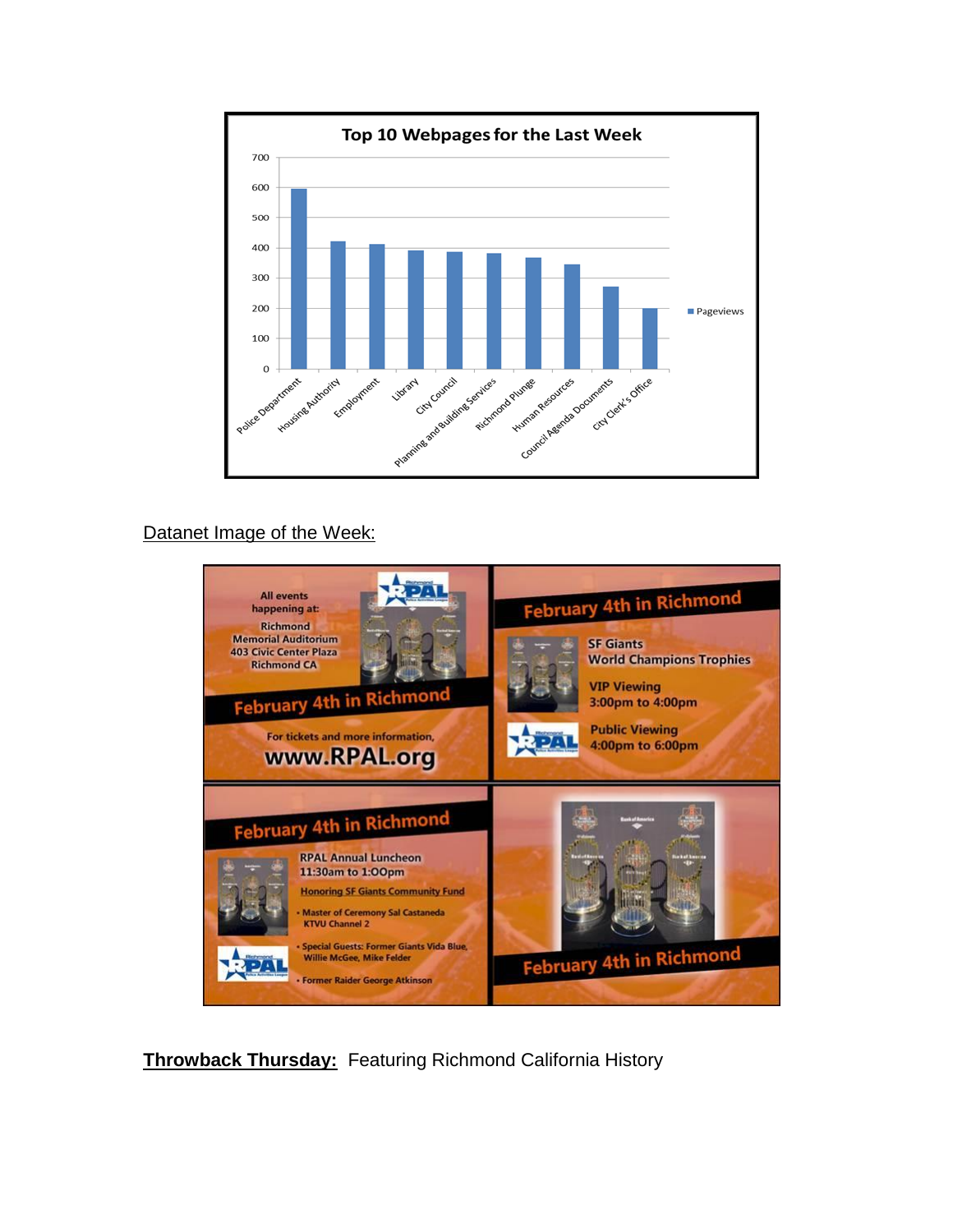

#### Datanet Image of the Week:



**Throwback Thursday:** Featuring Richmond California History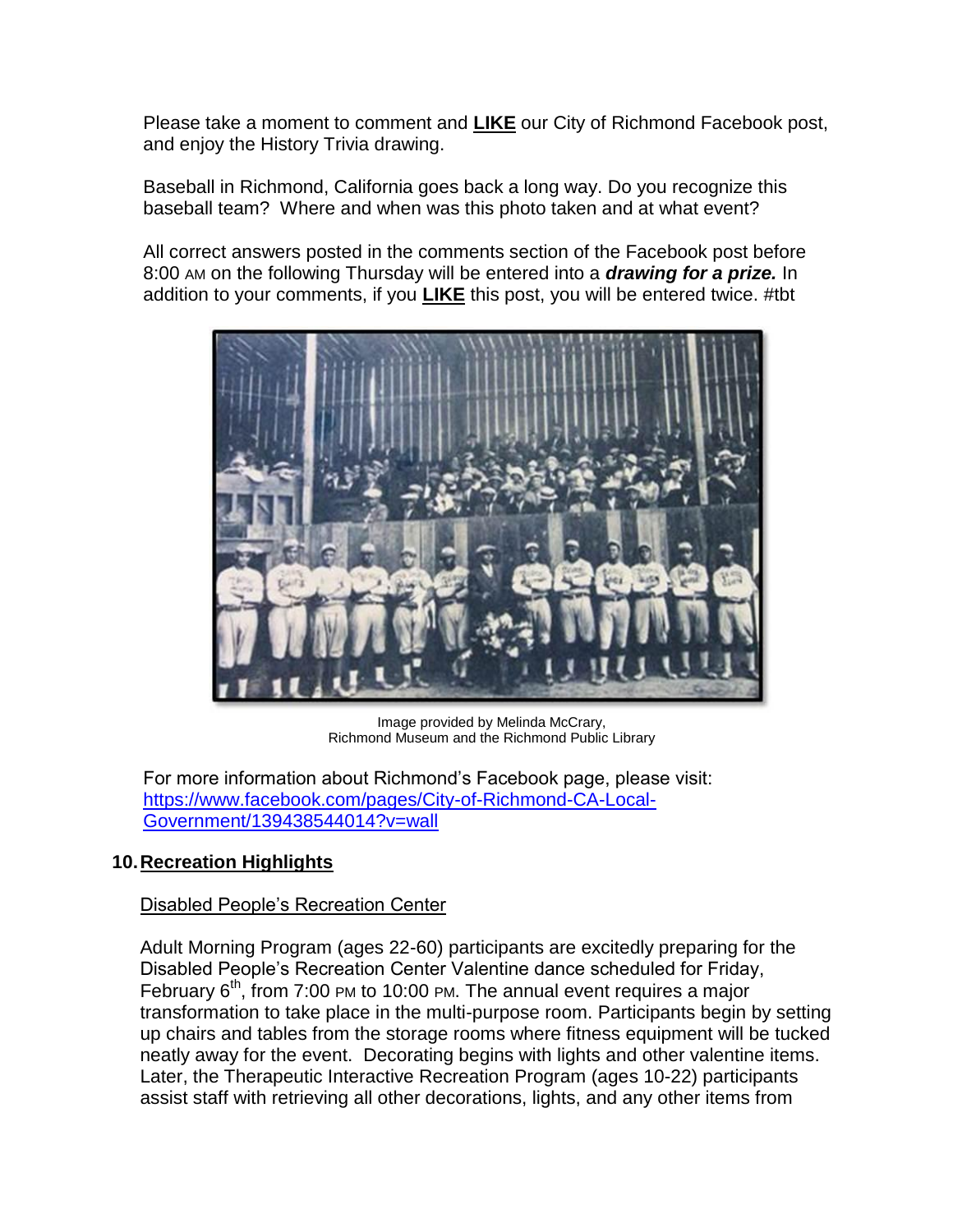Please take a moment to comment and **LIKE** our City of Richmond Facebook post, and enjoy the History Trivia drawing.

Baseball in Richmond, California goes back a long way. Do you recognize this baseball team? Where and when was this photo taken and at what event?

All correct answers posted in the comments section of the Facebook post before 8:00 AM on the following Thursday will be entered into a *drawing for a prize.* In addition to your comments, if you **LIKE** this post, you will be entered twice. #tbt



Image provided by Melinda McCrary, Richmond Museum and the Richmond Public Library

For more information about Richmond's Facebook page, please visit: [https://www.facebook.com/pages/City-of-Richmond-CA-Local-](https://www.facebook.com/pages/City-of-Richmond-CA-Local-Government/139438544014?v=wall)[Government/139438544014?v=wall](https://www.facebook.com/pages/City-of-Richmond-CA-Local-Government/139438544014?v=wall)

#### **10.Recreation Highlights**

#### Disabled People's Recreation Center

Adult Morning Program (ages 22-60) participants are excitedly preparing for the Disabled People's Recreation Center Valentine dance scheduled for Friday, February  $6<sup>th</sup>$ , from 7:00 PM to 10:00 PM. The annual event requires a major transformation to take place in the multi-purpose room. Participants begin by setting up chairs and tables from the storage rooms where fitness equipment will be tucked neatly away for the event. Decorating begins with lights and other valentine items. Later, the Therapeutic Interactive Recreation Program (ages 10-22) participants assist staff with retrieving all other decorations, lights, and any other items from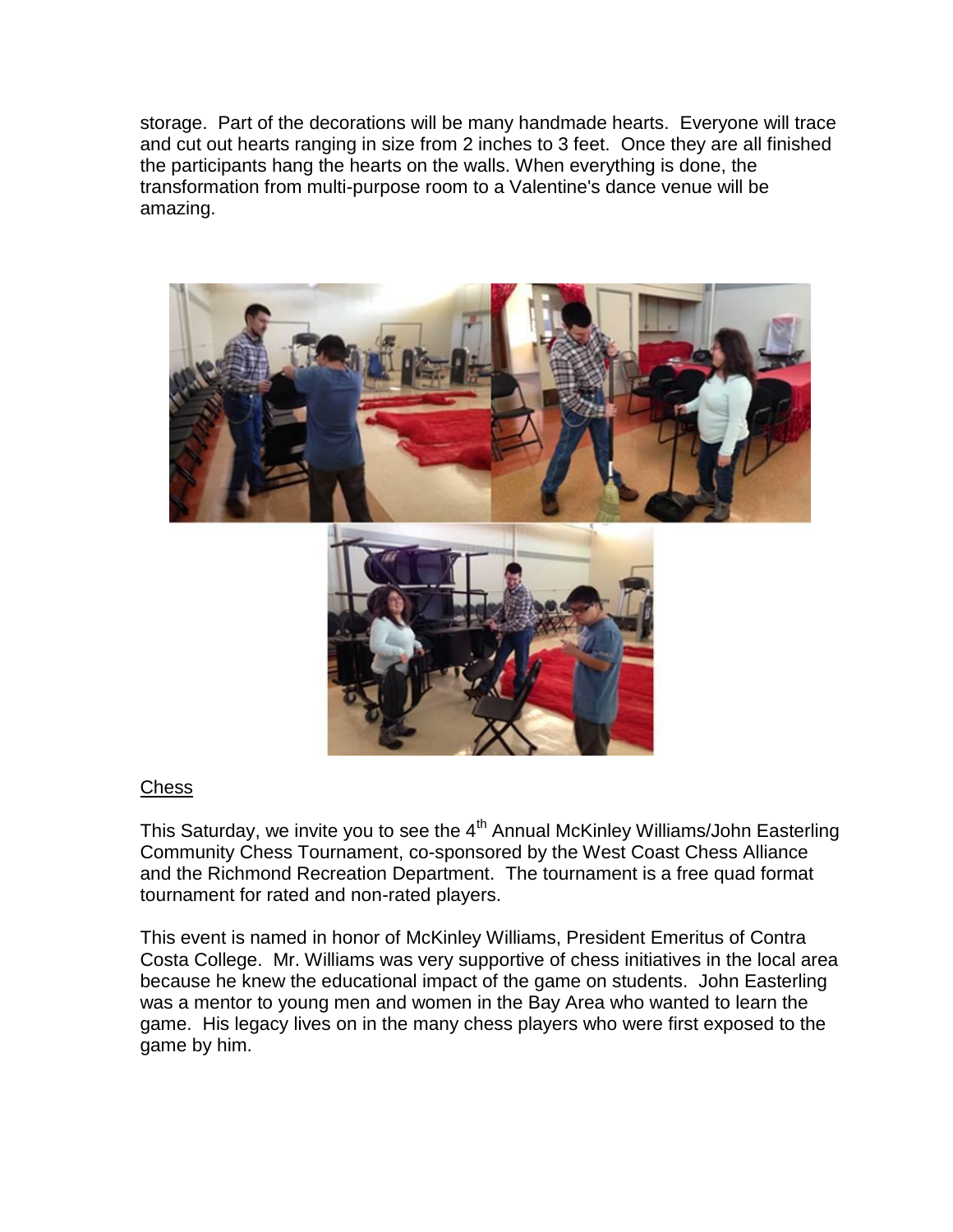storage. Part of the decorations will be many handmade hearts. Everyone will trace and cut out hearts ranging in size from 2 inches to 3 feet. Once they are all finished the participants hang the hearts on the walls. When everything is done, the transformation from multi-purpose room to a Valentine's dance venue will be amazing.



#### Chess

This Saturday, we invite you to see the 4<sup>th</sup> Annual McKinley Williams/John Easterling Community Chess Tournament, co-sponsored by the West Coast Chess Alliance and the Richmond Recreation Department. The tournament is a free quad format tournament for rated and non-rated players.

This event is named in honor of McKinley Williams, President Emeritus of Contra Costa College. Mr. Williams was very supportive of chess initiatives in the local area because he knew the educational impact of the game on students. John Easterling was a mentor to young men and women in the Bay Area who wanted to learn the game. His legacy lives on in the many chess players who were first exposed to the game by him.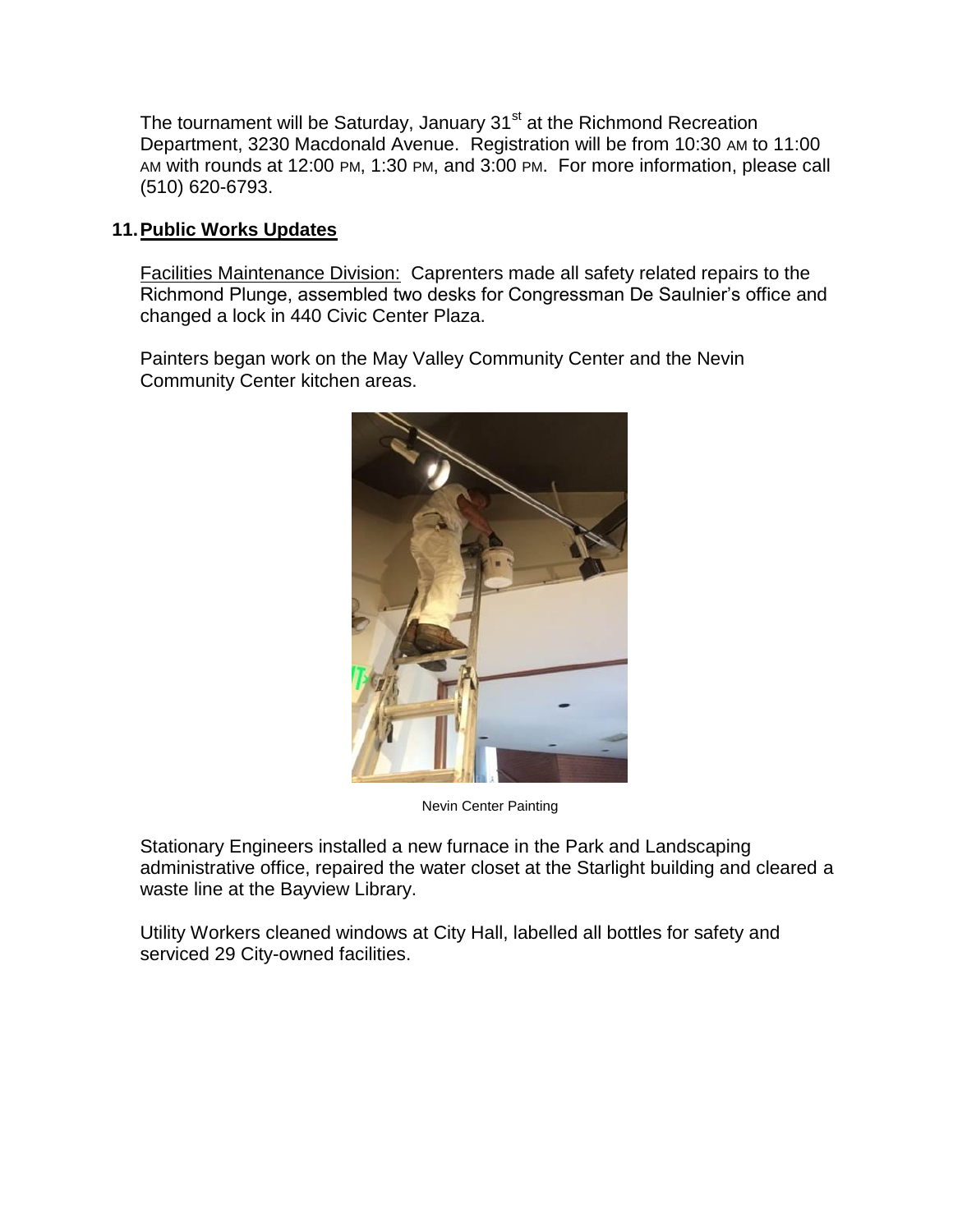The tournament will be Saturday, January 31<sup>st</sup> at the Richmond Recreation Department, 3230 Macdonald Avenue. Registration will be from 10:30 AM to 11:00 AM with rounds at 12:00 PM, 1:30 PM, and 3:00 PM. For more information, please call (510) 620-6793.

#### **11.Public Works Updates**

Facilities Maintenance Division: Caprenters made all safety related repairs to the Richmond Plunge, assembled two desks for Congressman De Saulnier's office and changed a lock in 440 Civic Center Plaza.

Painters began work on the May Valley Community Center and the Nevin Community Center kitchen areas.



Nevin Center Painting

Stationary Engineers installed a new furnace in the Park and Landscaping administrative office, repaired the water closet at the Starlight building and cleared a waste line at the Bayview Library.

Utility Workers cleaned windows at City Hall, labelled all bottles for safety and serviced 29 City-owned facilities.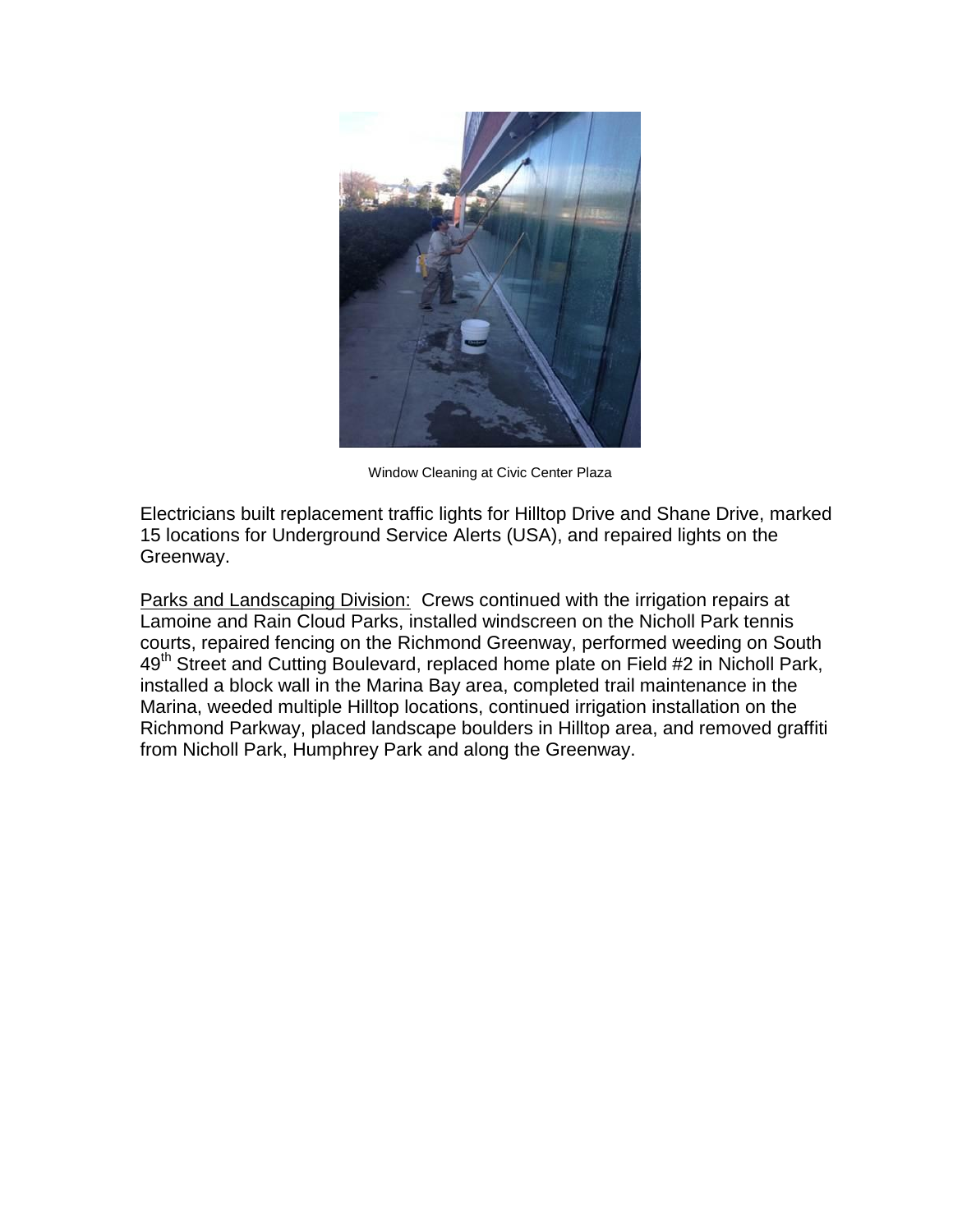

Window Cleaning at Civic Center Plaza

Electricians built replacement traffic lights for Hilltop Drive and Shane Drive, marked 15 locations for Underground Service Alerts (USA), and repaired lights on the Greenway.

Parks and Landscaping Division: Crews continued with the irrigation repairs at Lamoine and Rain Cloud Parks, installed windscreen on the Nicholl Park tennis courts, repaired fencing on the Richmond Greenway, performed weeding on South 49<sup>th</sup> Street and Cutting Boulevard, replaced home plate on Field #2 in Nicholl Park, installed a block wall in the Marina Bay area, completed trail maintenance in the Marina, weeded multiple Hilltop locations, continued irrigation installation on the Richmond Parkway, placed landscape boulders in Hilltop area, and removed graffiti from Nicholl Park, Humphrey Park and along the Greenway.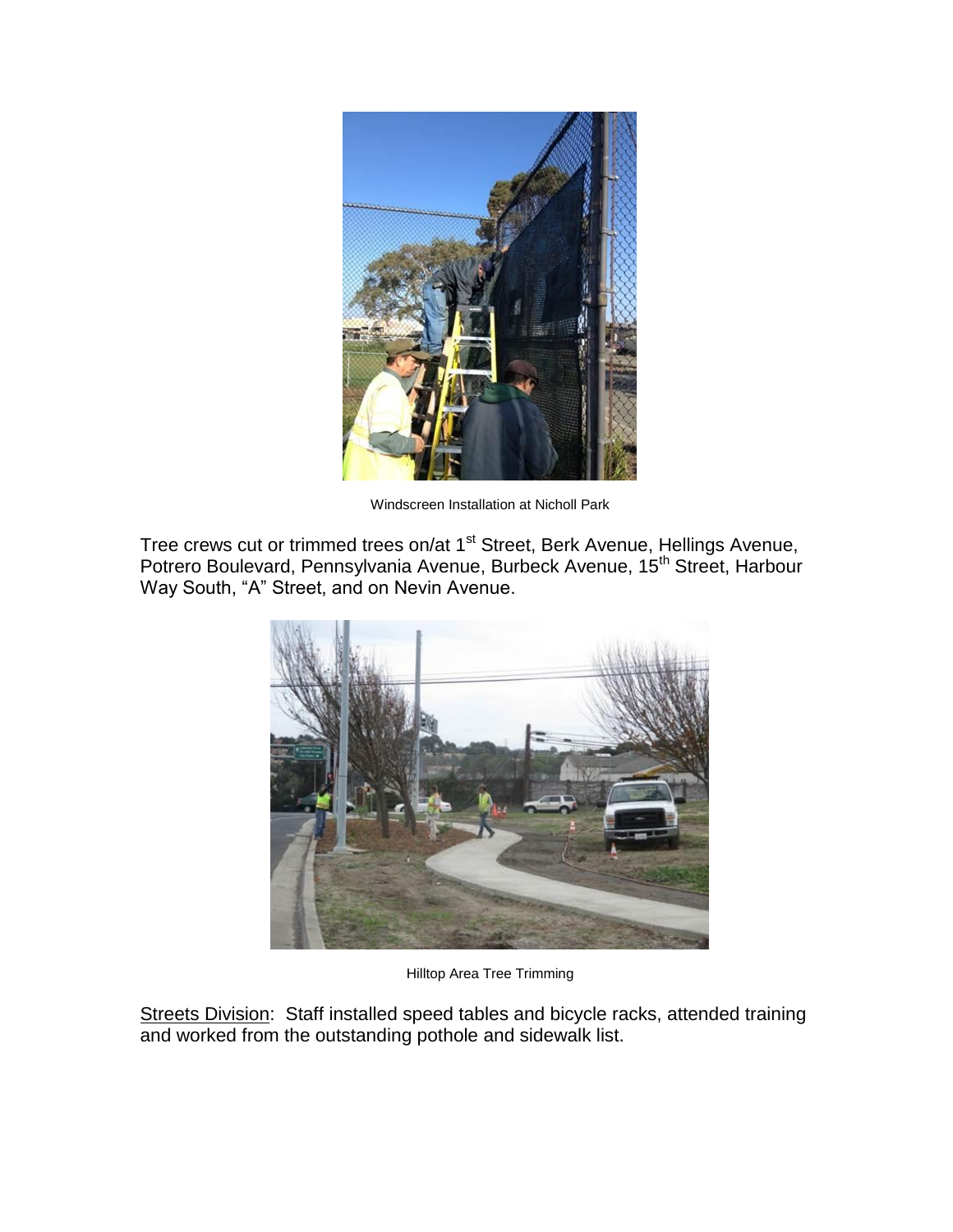

Windscreen Installation at Nicholl Park

Tree crews cut or trimmed trees on/at 1<sup>st</sup> Street, Berk Avenue, Hellings Avenue, Potrero Boulevard, Pennsylvania Avenue, Burbeck Avenue, 15<sup>th</sup> Street, Harbour Way South, "A" Street, and on Nevin Avenue.



Hilltop Area Tree Trimming

Streets Division: Staff installed speed tables and bicycle racks, attended training and worked from the outstanding pothole and sidewalk list.